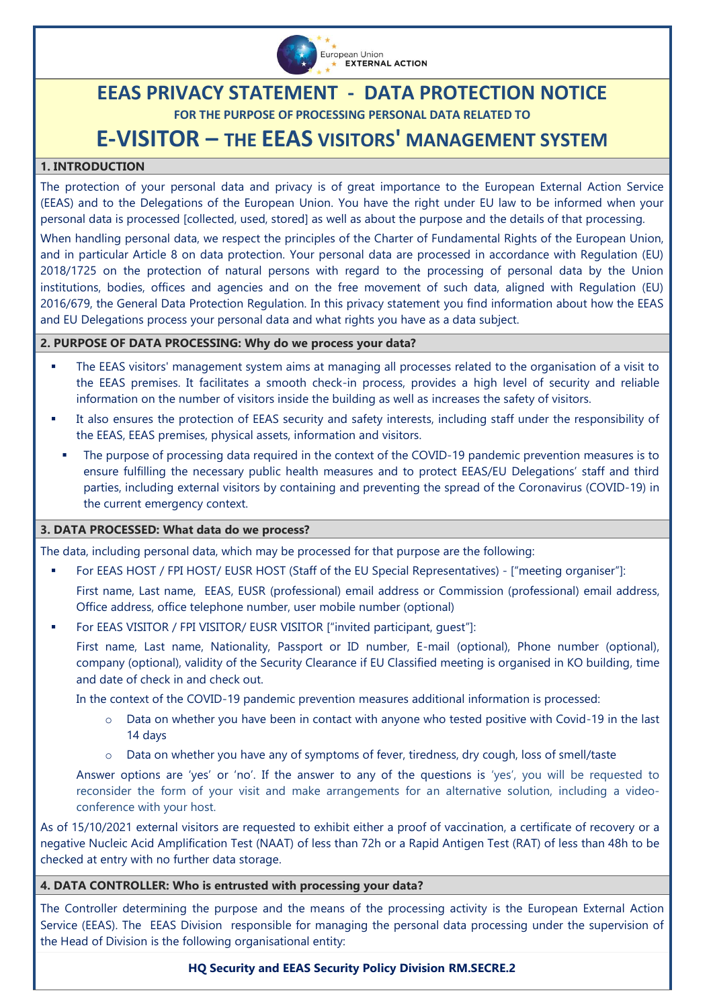

# **EEAS PRIVACY STATEMENT - DATA PROTECTION NOTICE**

**FOR THE PURPOSE OF PROCESSING PERSONAL DATA RELATED TO** 

# **E-VISITOR – THE EEAS VISITORS' MANAGEMENT SYSTEM**

# **1. INTRODUCTION**

The protection of your personal data and privacy is of great importance to the European External Action Service (EEAS) and to the Delegations of the European Union. You have the right under EU law to be informed when your personal data is processed [collected, used, stored] as well as about the purpose and the details of that processing.

When handling personal data, we respect the principles of the Charter of Fundamental Rights of the European Union, and in particular Article 8 on data protection. Your personal data are processed in accordance with Regulation (EU) 2018/1725 on the protection of natural persons with regard to the processing of personal data by the Union institutions, bodies, offices and agencies and on the free movement of such data, aligned with Regulation (EU) 2016/679, the General Data Protection Regulation. In this privacy statement you find information about how the EEAS and EU Delegations process your personal data and what rights you have as a data subject.

# **2. PURPOSE OF DATA PROCESSING: Why do we process your data?**

- The EEAS visitors' management system aims at managing all processes related to the organisation of a visit to the EEAS premises. It facilitates a smooth check-in process, provides a high level of security and reliable information on the number of visitors inside the building as well as increases the safety of visitors.
- It also ensures the protection of EEAS security and safety interests, including staff under the responsibility of the EEAS, EEAS premises, physical assets, information and visitors.
	- The purpose of processing data required in the context of the COVID-19 pandemic prevention measures is to ensure fulfilling the necessary public health measures and to protect EEAS/EU Delegations' staff and third parties, including external visitors by containing and preventing the spread of the Coronavirus (COVID-19) in the current emergency context.

# **3. DATA PROCESSED: What data do we process?**

The data, including personal data, which may be processed for that purpose are the following:

For EEAS HOST / FPI HOST/ EUSR HOST (Staff of the EU Special Representatives) - ["meeting organiser"]:

First name, Last name, EEAS, EUSR (professional) email address or Commission (professional) email address, Office address, office telephone number, user mobile number (optional)

For EEAS VISITOR / FPI VISITOR/ EUSR VISITOR ["invited participant, guest"]:

First name, Last name, Nationality, Passport or ID number, E-mail (optional), Phone number (optional), company (optional), validity of the Security Clearance if EU Classified meeting is organised in KO building, time and date of check in and check out.

In the context of the COVID-19 pandemic prevention measures additional information is processed:

- $\circ$  Data on whether you have been in contact with anyone who tested positive with Covid-19 in the last 14 days
- $\circ$  Data on whether you have any of symptoms of fever, tiredness, dry cough, loss of smell/taste

Answer options are 'yes' or 'no'. If the answer to any of the questions is 'yes', you will be requested to reconsider the form of your visit and make arrangements for an alternative solution, including a videoconference with your host.

As of 15/10/2021 external visitors are requested to exhibit either a proof of vaccination, a certificate of recovery or a negative Nucleic Acid Amplification Test (NAAT) of less than 72h or a Rapid Antigen Test (RAT) of less than 48h to be checked at entry with no further data storage.

# **4. DATA CONTROLLER: Who is entrusted with processing your data?**

The Controller determining the purpose and the means of the processing activity is the European External Action Service (EEAS). The EEAS Division responsible for managing the personal data processing under the supervision of the Head of Division is the following organisational entity:

#### **HQ Security and EEAS Security Policy Division RM.SECRE.2**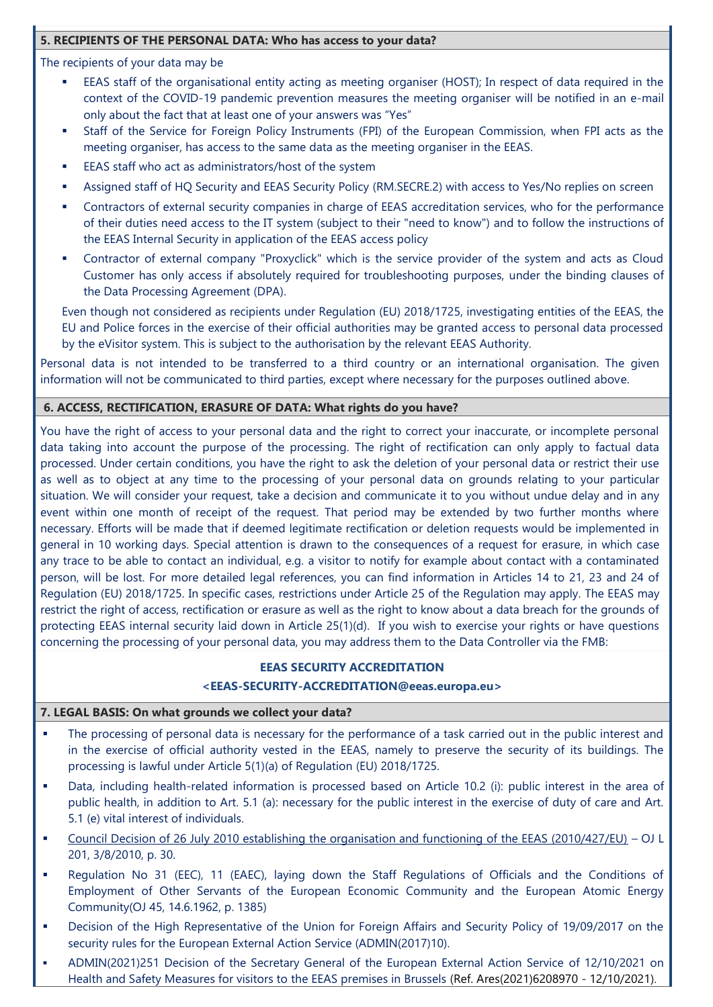# **5. RECIPIENTS OF THE PERSONAL DATA: Who has access to your data?**

The recipients of your data may be

- EEAS staff of the organisational entity acting as meeting organiser (HOST); In respect of data required in the context of the COVID-19 pandemic prevention measures the meeting organiser will be notified in an e-mail only about the fact that at least one of your answers was "Yes"
- Staff of the Service for Foreign Policy Instruments (FPI) of the European Commission, when FPI acts as the meeting organiser, has access to the same data as the meeting organiser in the EEAS.
- EEAS staff who act as administrators/host of the system
- Assigned staff of HQ Security and EEAS Security Policy (RM.SECRE.2) with access to Yes/No replies on screen
- Contractors of external security companies in charge of EEAS accreditation services, who for the performance of their duties need access to the IT system (subject to their "need to know") and to follow the instructions of the EEAS Internal Security in application of the EEAS access policy
- Contractor of external company "Proxyclick" which is the service provider of the system and acts as Cloud Customer has only access if absolutely required for troubleshooting purposes, under the binding clauses of the Data Processing Agreement (DPA).

Even though not considered as recipients under Regulation (EU) 2018/1725, investigating entities of the EEAS, the EU and Police forces in the exercise of their official authorities may be granted access to personal data processed by the eVisitor system. This is subject to the authorisation by the relevant EEAS Authority.

Personal data is not intended to be transferred to a third country or an international organisation. The given information will not be communicated to third parties, except where necessary for the purposes outlined above.

#### **6. ACCESS, RECTIFICATION, ERASURE OF DATA: What rights do you have?**

You have the right of access to your personal data and the right to correct your inaccurate, or incomplete personal data taking into account the purpose of the processing. The right of rectification can only apply to factual data processed. Under certain conditions, you have the right to ask the deletion of your personal data or restrict their use as well as to object at any time to the processing of your personal data on grounds relating to your particular situation. We will consider your request, take a decision and communicate it to you without undue delay and in any event within one month of receipt of the request. That period may be extended by two further months where necessary. Efforts will be made that if deemed legitimate rectification or deletion requests would be implemented in general in 10 working days. Special attention is drawn to the consequences of a request for erasure, in which case any trace to be able to contact an individual, e.g. a visitor to notify for example about contact with a contaminated person, will be lost. For more detailed legal references, you can find information in Articles 14 to 21, 23 and 24 of Regulation (EU) 2018/1725. In specific cases, restrictions under Article 25 of the Regulation may apply. The EEAS may restrict the right of access, rectification or erasure as well as the right to know about a data breach for the grounds of protecting EEAS internal security laid down in Article 25(1)(d). If you wish to exercise your rights or have questions concerning the processing of your personal data, you may address them to the Data Controller via the FMB:

# **EEAS SECURITY ACCREDITATION**

# **[<EEAS-SECURITY-ACCREDITATION@eeas.europa.eu>](mailto:EEAS-SECURITY-ACCREDITATION@eeas.europa.eu)**

# **7. LEGAL BASIS: On what grounds we collect your data?**

- The processing of personal data is necessary for the performance of a task carried out in the public interest and in the exercise of official authority vested in the EEAS, namely to preserve the security of its buildings. The processing is lawful under Article 5(1)(a) of Regulation (EU) 2018/1725.
- Data, including health-related information is processed based on Article 10.2 (i): public interest in the area of public health, in addition to Art. 5.1 (a): necessary for the public interest in the exercise of duty of care and Art. 5.1 (e) vital interest of individuals.
- [Council Decision of 26 July 2010 establishing the organisation and functioning of the EEAS \(2010/427/EU\)](http://www.eeas.europa.eu/background/docs/eeas_decision_en.pdf) OJ L 201, 3/8/2010, p. 30.
- Regulation No 31 (EEC), 11 (EAEC), laying down the Staff Regulations of Officials and the Conditions of Employment of Other Servants of the European Economic Community and the European Atomic Energy Community(OJ 45, 14.6.1962, p. 1385)
- Decision of the High Representative of the Union for Foreign Affairs and Security Policy of 19/09/2017 on the security rules for the European External Action Service (ADMIN(2017)10).
- ADMIN(2021)251 Decision of the Secretary General of the European External Action Service of 12/10/2021 on Health and Safety Measures for visitors to the EEAS premises in Brussels (Ref. Ares(2021)6208970 - 12/10/2021).